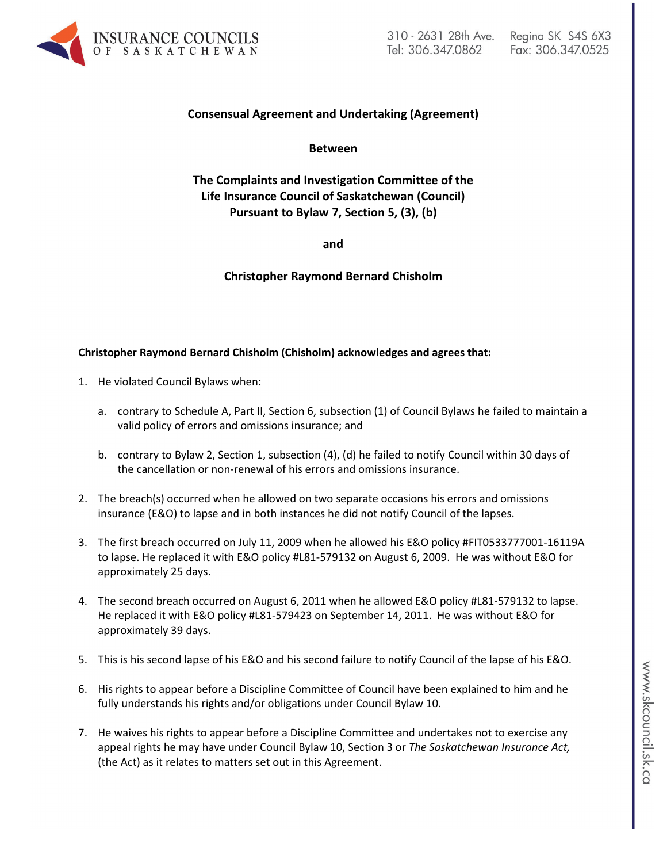

# **Consensual Agreement and Undertaking (Agreement)**

**Between**

**The Complaints and Investigation Committee of the Life Insurance Council of Saskatchewan (Council) Pursuant to Bylaw 7, Section 5, (3), (b)**

**and**

**Christopher Raymond Bernard Chisholm**

## **Christopher Raymond Bernard Chisholm (Chisholm) acknowledges and agrees that:**

- 1. He violated Council Bylaws when:
	- a. contrary to Schedule A, Part II, Section 6, subsection (1) of Council Bylaws he failed to maintain a valid policy of errors and omissions insurance; and
	- b. contrary to Bylaw 2, Section 1, subsection (4), (d) he failed to notify Council within 30 days of the cancellation or non-renewal of his errors and omissions insurance.
- 2. The breach(s) occurred when he allowed on two separate occasions his errors and omissions insurance (E&O) to lapse and in both instances he did not notify Council of the lapses.
- 3. The first breach occurred on July 11, 2009 when he allowed his E&O policy #FIT0533777001-16119A to lapse. He replaced it with E&O policy #L81-579132 on August 6, 2009. He was without E&O for approximately 25 days.
- 4. The second breach occurred on August 6, 2011 when he allowed E&O policy #L81-579132 to lapse. He replaced it with E&O policy #L81-579423 on September 14, 2011. He was without E&O for approximately 39 days.
- 5. This is his second lapse of his E&O and his second failure to notify Council of the lapse of his E&O.
- 6. His rights to appear before a Discipline Committee of Council have been explained to him and he fully understands his rights and/or obligations under Council Bylaw 10.
- 7. He waives his rights to appear before a Discipline Committee and undertakes not to exercise any appeal rights he may have under Council Bylaw 10, Section 3 or *The Saskatchewan Insurance Act,* (the Act) as it relates to matters set out in this Agreement.